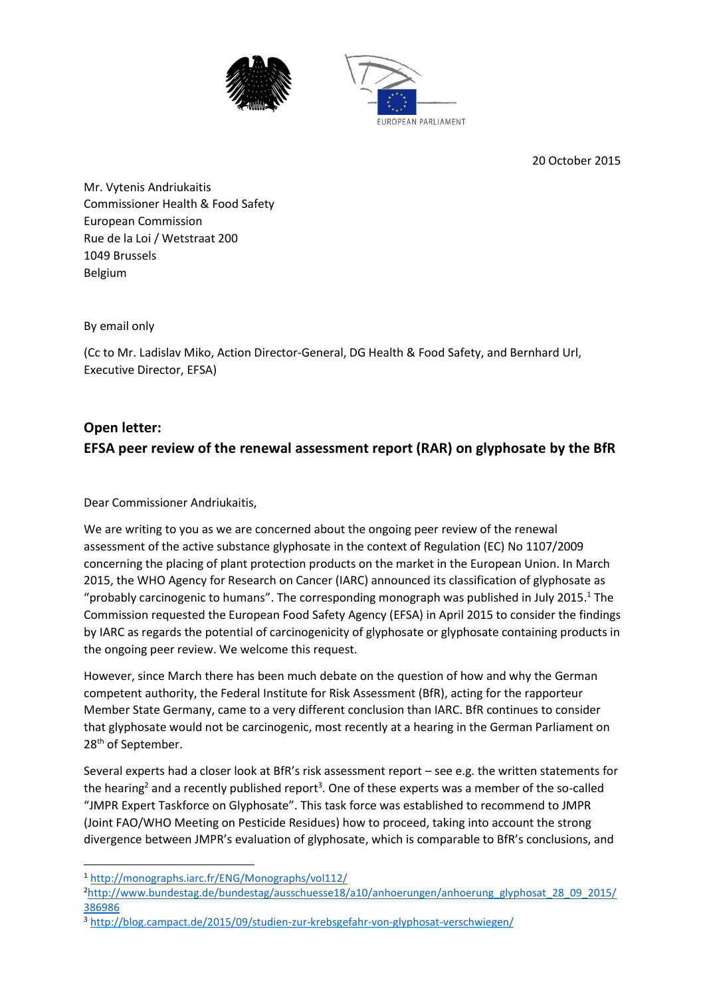



20 October 2015

Mr. Vytenis Andriukaitis Commissioner Health & Food Safety European Commission Rue de la Loi / Wetstraat 200 1049 Brussels Belgium

By email only

(Cc to Mr. Ladislav Miko, Action Director-General, DG Health & Food Safety, and Bernhard Url, Executive Director, EFSA)

# **Open letter: EFSA peer review of the renewal assessment report (RAR) on glyphosate by the BfR**

Dear Commissioner Andriukaitis,

We are writing to you as we are concerned about the ongoing peer review of the renewal assessment of the active substance glyphosate in the context of Regulation (EC) No 1107/2009 concerning the placing of plant protection products on the market in the European Union. In March 2015, the WHO Agency for Research on Cancer (IARC) announced its classification of glyphosate as "probably carcinogenic to humans". The corresponding monograph was published in July 2015.<sup>1</sup> The Commission requested the European Food Safety Agency (EFSA) in April 2015 to consider the findings by IARC as regards the potential of carcinogenicity of glyphosate or glyphosate containing products in the ongoing peer review. We welcome this request.

However, since March there has been much debate on the question of how and why the German competent authority, the Federal Institute for Risk Assessment (BfR), acting for the rapporteur Member State Germany, came to a very different conclusion than IARC. BfR continues to consider that glyphosate would not be carcinogenic, most recently at a hearing in the German Parliament on 28<sup>th</sup> of September.

Several experts had a closer look at BfR's risk assessment report – see e.g. the written statements for the hearing<sup>2</sup> and a recently published report<sup>3</sup>. One of these experts was a member of the so-called "JMPR Expert Taskforce on Glyphosate". This task force was established to recommend to JMPR (Joint FAO/WHO Meeting on Pesticide Residues) how to proceed, taking into account the strong divergence between JMPR's evaluation of glyphosate, which is comparable to BfR's conclusions, and

**.** 

<sup>1</sup> <http://monographs.iarc.fr/ENG/Monographs/vol112/>

<sup>2</sup>[http://www.bundestag.de/bundestag/ausschuesse18/a10/anhoerungen/anhoerung\\_glyphosat\\_28\\_09\\_2015/](http://www.bundestag.de/bundestag/ausschuesse18/a10/anhoerungen/anhoerung_glyphosat_28_09_2015/386986) [386986](http://www.bundestag.de/bundestag/ausschuesse18/a10/anhoerungen/anhoerung_glyphosat_28_09_2015/386986)

<sup>3</sup> <http://blog.campact.de/2015/09/studien-zur-krebsgefahr-von-glyphosat-verschwiegen/>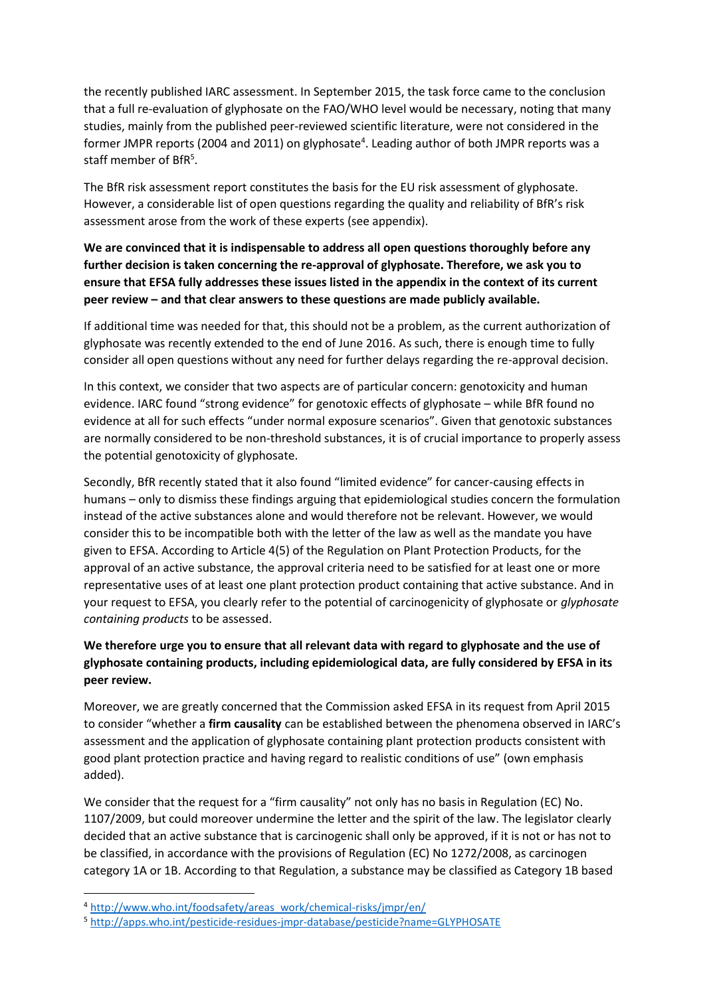the recently published IARC assessment. In September 2015, the task force came to the conclusion that a full re-evaluation of glyphosate on the FAO/WHO level would be necessary, noting that many studies, mainly from the published peer-reviewed scientific literature, were not considered in the former JMPR reports (2004 and 2011) on glyphosate<sup>4</sup>. Leading author of both JMPR reports was a staff member of BfR<sup>5</sup>.

The BfR risk assessment report constitutes the basis for the EU risk assessment of glyphosate. However, a considerable list of open questions regarding the quality and reliability of BfR's risk assessment arose from the work of these experts (see appendix).

# **We are convinced that it is indispensable to address all open questions thoroughly before any further decision is taken concerning the re-approval of glyphosate. Therefore, we ask you to ensure that EFSA fully addresses these issues listed in the appendix in the context of its current peer review – and that clear answers to these questions are made publicly available.**

If additional time was needed for that, this should not be a problem, as the current authorization of glyphosate was recently extended to the end of June 2016. As such, there is enough time to fully consider all open questions without any need for further delays regarding the re-approval decision.

In this context, we consider that two aspects are of particular concern: genotoxicity and human evidence. IARC found "strong evidence" for genotoxic effects of glyphosate – while BfR found no evidence at all for such effects "under normal exposure scenarios". Given that genotoxic substances are normally considered to be non-threshold substances, it is of crucial importance to properly assess the potential genotoxicity of glyphosate.

Secondly, BfR recently stated that it also found "limited evidence" for cancer-causing effects in humans – only to dismiss these findings arguing that epidemiological studies concern the formulation instead of the active substances alone and would therefore not be relevant. However, we would consider this to be incompatible both with the letter of the law as well as the mandate you have given to EFSA. According to Article 4(5) of the Regulation on Plant Protection Products, for the approval of an active substance, the approval criteria need to be satisfied for at least one or more representative uses of at least one plant protection product containing that active substance. And in your request to EFSA, you clearly refer to the potential of carcinogenicity of glyphosate or *glyphosate containing products* to be assessed.

# **We therefore urge you to ensure that all relevant data with regard to glyphosate and the use of glyphosate containing products, including epidemiological data, are fully considered by EFSA in its peer review.**

Moreover, we are greatly concerned that the Commission asked EFSA in its request from April 2015 to consider "whether a **firm causality** can be established between the phenomena observed in IARC's assessment and the application of glyphosate containing plant protection products consistent with good plant protection practice and having regard to realistic conditions of use" (own emphasis added).

We consider that the request for a "firm causality" not only has no basis in Regulation (EC) No. 1107/2009, but could moreover undermine the letter and the spirit of the law. The legislator clearly decided that an active substance that is carcinogenic shall only be approved, if it is not or has not to be classified, in accordance with the provisions of Regulation (EC) No 1272/2008, as carcinogen category 1A or 1B. According to that Regulation, a substance may be classified as Category 1B based

**.** 

<sup>&</sup>lt;sup>4</sup> [http://www.who.int/foodsafety/areas\\_work/chemical-risks/jmpr/en/](http://www.who.int/foodsafety/areas_work/chemical-risks/jmpr/en/)

<sup>5</sup> <http://apps.who.int/pesticide-residues-jmpr-database/pesticide?name=GLYPHOSATE>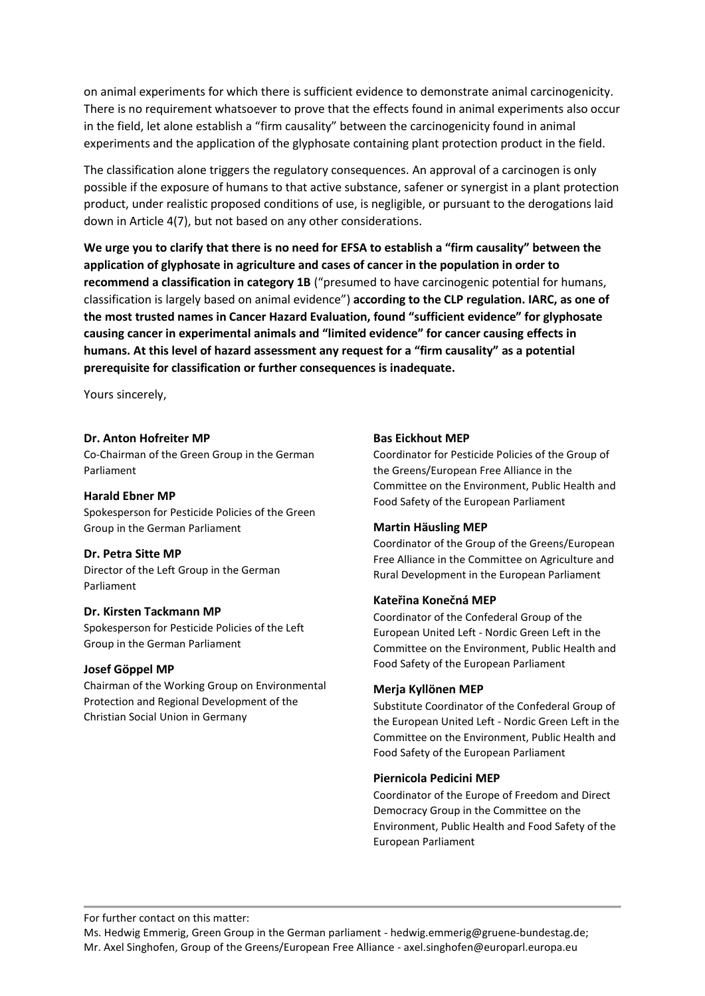on animal experiments for which there is sufficient evidence to demonstrate animal carcinogenicity. There is no requirement whatsoever to prove that the effects found in animal experiments also occur in the field, let alone establish a "firm causality" between the carcinogenicity found in animal experiments and the application of the glyphosate containing plant protection product in the field.

The classification alone triggers the regulatory consequences. An approval of a carcinogen is only possible if the exposure of humans to that active substance, safener or synergist in a plant protection product, under realistic proposed conditions of use, is negligible, or pursuant to the derogations laid down in Article 4(7), but not based on any other considerations.

**We urge you to clarify that there is no need for EFSA to establish a "firm causality" between the application of glyphosate in agriculture and cases of cancer in the population in order to recommend a classification in category 1B** ("presumed to have carcinogenic potential for humans, classification is largely based on animal evidence") **according to the CLP regulation. IARC, as one of the most trusted names in Cancer Hazard Evaluation, found "sufficient evidence" for glyphosate causing cancer in experimental animals and "limited evidence" for cancer causing effects in humans. At this level of hazard assessment any request for a "firm causality" as a potential prerequisite for classification or further consequences is inadequate.**

Yours sincerely,

# **Dr. Anton Hofreiter MP**

Co‐Chairman of the Green Group in the German Parliament

### **Harald Ebner MP**

Spokesperson for Pesticide Policies of the Green Group in the German Parliament

# **Dr. Petra Sitte MP**

Director of the Left Group in the German Parliament

### **Dr. Kirsten Tackmann MP**

Spokesperson for Pesticide Policies of the Left Group in the German Parliament

# **Josef Göppel MP**

Chairman of the Working Group on Environmental Protection and Regional Development of the Christian Social Union in Germany

### **Bas Eickhout MEP**

Coordinator for Pesticide Policies of the Group of the Greens/European Free Alliance in the Committee on the Environment, Public Health and Food Safety of the European Parliament

### **Martin Häusling MEP**

Coordinator of the Group of the Greens/European Free Alliance in the Committee on Agriculture and Rural Development in the European Parliament

# **Kateřina Konečná MEP**

Coordinator of the Confederal Group of the European United Left - Nordic Green Left in the Committee on the Environment, Public Health and Food Safety of the European Parliament

# **Merja Kyllönen MEP**

Substitute Coordinator of the Confederal Group of the European United Left - Nordic Green Left in the Committee on the Environment, Public Health and Food Safety of the European Parliament

### **Piernicola Pedicini MEP**

Coordinator of the Europe of Freedom and Direct Democracy Group in the Committee on the Environment, Public Health and Food Safety of the European Parliament

For further contact on this matter:

Ms. Hedwig Emmerig, Green Group in the German parliament - hedwig.emmerig@gruene-bundestag.de; Mr. Axel Singhofen, Group of the Greens/European Free Alliance - axel.singhofen@europarl.europa.eu